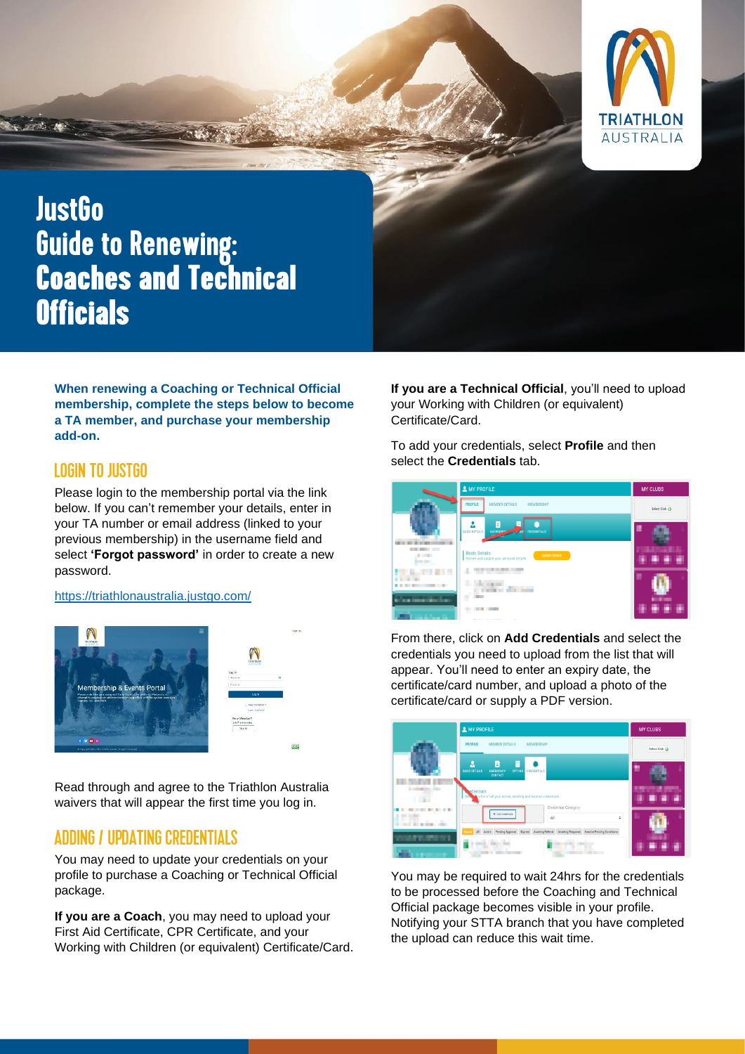

# **JustGo Guide to Renewing: Coaches and Technical Officials**

**When renewing a Coaching or Technical Official membership, complete the steps below to become a TA member, and purchase your membership add-on.**

## **LOGIN TO JUSTGO**

Please login to the membership portal via the link below. If you can't remember your details, enter in your TA number or email address (linked to your previous membership) in the username field and select **'Forgot password'** in order to create a new password.

#### <https://triathlonaustralia.justgo.com/>





Read through and agree to the Triathlon Australia waivers that will appear the first time you log in.

### **ADDING / UPDATING CREDENTIALS**

You may need to update your credentials on your profile to purchase a Coaching or Technical Official package.

**If you are a Coach**, you may need to upload your First Aid Certificate, CPR Certificate, and your Working with Children (or equivalent) Certificate/Card. **If you are a Technical Official**, you'll need to upload your Working with Children (or equivalent) Certificate/Card.

To add your credentials, select **Profile** and then select the **Credentials** tab.



From there, click on **Add Credentials** and select the credentials you need to upload from the list that will appear. You'll need to enter an expiry date, the certificate/card number, and upload a photo of the certificate/card or supply a PDF version.



You may be required to wait 24hrs for the credentials to be processed before the Coaching and Technical Official package becomes visible in your profile. Notifying your STTA branch that you have completed the upload can reduce this wait time.